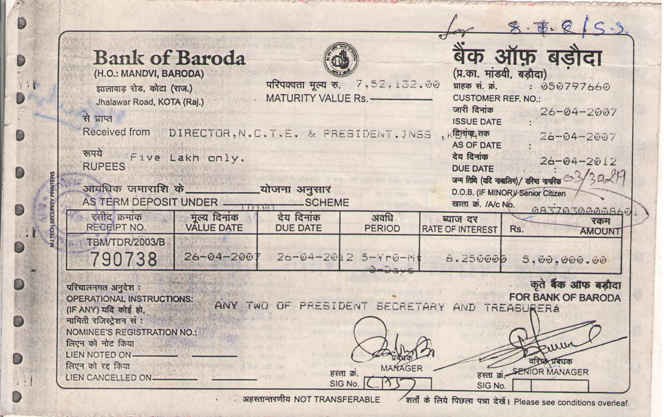| <b>Bank of Baroda</b><br>(H.O.: MANDVI, BARODA)                                                                                                                                     |                                               | परिपक्वता मृत्य रु. 7,52,132.00<br>MATURITY VALUE Rs. |                     | बैंक ऑफ़ बडौदा<br>(प्र.का. मांडवी, बडौदा) |                                                                                                             |  |
|-------------------------------------------------------------------------------------------------------------------------------------------------------------------------------------|-----------------------------------------------|-------------------------------------------------------|---------------------|-------------------------------------------|-------------------------------------------------------------------------------------------------------------|--|
| झालावाड़ रोड, कोटा (राज.)<br>Jhalawar Road, KOTA (Raj.)                                                                                                                             |                                               |                                                       |                     |                                           | प्राहक सं. क्रं.<br>: 050797660<br><b>CUSTOMER REF. NO.</b>                                                 |  |
| से प्राप्त                                                                                                                                                                          |                                               |                                                       |                     | जारी दिनांक                               | $26 - 04 - 2007$<br><b>ISSUE DATE</b><br>$26 - 04 - 2007$<br><b>AS OF DATE</b>                              |  |
| Received from                                                                                                                                                                       | DIRECTOR, N.C.T.E. & PRESIDENT, JNSS . REMPLE |                                                       |                     |                                           |                                                                                                             |  |
| रूपये<br><b>RUPEES</b>                                                                                                                                                              | Five Lakh only.                               |                                                       |                     | देय दिनांक<br><b>DUE DATE</b>             | $26 - 04 - 2012$                                                                                            |  |
| आवधिक जमाराशि के योजना अनुसार<br>AS TERM DEPOSIT UNDER TELETIM                                                                                                                      |                                               | SCHEME                                                |                     | खाता क्र. /A/c No.                        | जन्म तिथि (यदि नाबातिग)/ बरिश्च नाकरिक $\frac{3}{3}$ 0<br>D.O.B. (IF MINOR)/ Senior Citizen<br>GA37030000A6 |  |
| रसीद क्रमांक<br>RECEIPT NO.                                                                                                                                                         | मृत्य दिनांक<br><b>VALUE DATE</b>             | देय दिनांक<br><b>DUE DATE</b>                         | अवधि<br>PERIOD      | ब्याज दर<br><b>RATE OF INTEREST</b>       | रकम<br>Rs.<br><b>AMOUNT</b>                                                                                 |  |
| TBM/TDR/2003/B<br>790738                                                                                                                                                            | $26 - 04 - 200$                               |                                                       | Z6-04-2012 5-Yr0-Mt | 8.250000                                  | 5.00.000.00                                                                                                 |  |
| कृते बैंक ऑफ बड़ौदा<br>परिचालनगत अनुदेश :<br><b>FOR BANK OF BARODA</b><br><b>OPERATIONAL INSTRUCTIONS:</b><br>ANY TWO OF PRESIDENT SECRETARY AND TREASURERA<br>(IF ANY) यदि कोई हो. |                                               |                                                       |                     |                                           |                                                                                                             |  |
| नामिती रजिस्टेशन सं:<br>NOMINEE'S REGISTRATION NO.                                                                                                                                  |                                               |                                                       |                     |                                           |                                                                                                             |  |
| लिएन को नोट किया<br>LIEN NOTED ON-                                                                                                                                                  |                                               |                                                       |                     |                                           |                                                                                                             |  |

Ø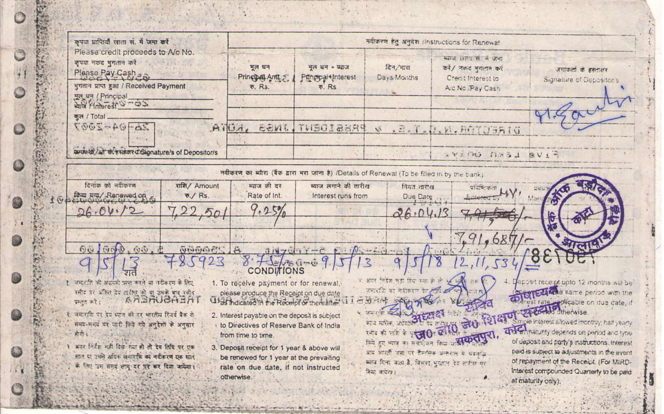| कपया प्राप्तियाँ रहता सं. में जमा करें                                                                                                                                            |                                                                                                                                                                                 | मवीकरण हेतु अनुदेश /instructions for Renewal         |                                                                                                                  |                                                                                      |                                                                                                                                                                                                                                                                                                                   |  |  |  |
|-----------------------------------------------------------------------------------------------------------------------------------------------------------------------------------|---------------------------------------------------------------------------------------------------------------------------------------------------------------------------------|------------------------------------------------------|------------------------------------------------------------------------------------------------------------------|--------------------------------------------------------------------------------------|-------------------------------------------------------------------------------------------------------------------------------------------------------------------------------------------------------------------------------------------------------------------------------------------------------------------|--|--|--|
| Please credit proceeds to A/c No.<br>कृपया मकद भुगतान करें<br>Please Pay Cash<br>भगतान प्राप्त हुआ / Received Payment                                                             | मृत धन<br>Principal Ant<br><b>あい尺も</b>                                                                                                                                          | मृत धन - प्याज<br>Principal + Interest<br>$E$ . $Rs$ | दिन/मात<br>Days Months                                                                                           | स्कल लगा से ने जना<br>करें/ नज़ह मगलन करें<br>Credit Interest In<br>Arc No. Pay Cash | जमायतां के हस्तालर<br>Signature of Depositor's                                                                                                                                                                                                                                                                    |  |  |  |
| मूल धन (Principal)<br>with Pinterest Smoot<br>कुल / Total<br>$20 - 94 - 2007$                                                                                                     | ATGA.                                                                                                                                                                           | PRESIDENT INSS                                       |                                                                                                                  |                                                                                      |                                                                                                                                                                                                                                                                                                                   |  |  |  |
| bude to /air dutriater d'Gionature/s of Depositor/s                                                                                                                               |                                                                                                                                                                                 |                                                      |                                                                                                                  | DIRECTAR.M.M.C.T.E. &<br>. YIOU NASI BVIT                                            |                                                                                                                                                                                                                                                                                                                   |  |  |  |
| नवीकरण का स्पीरा (बैंक द्वारा भरा जाना है) /Dotalls of Renewal (To be filled in by the bank)                                                                                      |                                                                                                                                                                                 |                                                      |                                                                                                                  |                                                                                      |                                                                                                                                                                                                                                                                                                                   |  |  |  |
| दिनांक को मंडीकरण<br>राशि/ Amount<br>tam дл / Ranewed on<br>$\overline{e}$ ./ $Rs$ .                                                                                              | स्थान की कर<br>Rate of Int.                                                                                                                                                     | स्वाज लगाने की तारीख<br>Interest runs from           | नियत खरीख<br>Due Date                                                                                            | official                                                                             |                                                                                                                                                                                                                                                                                                                   |  |  |  |
| 26.04.72                                                                                                                                                                          | $\sigma$                                                                                                                                                                        |                                                      | 26.04.13                                                                                                         |                                                                                      |                                                                                                                                                                                                                                                                                                                   |  |  |  |
| 601600<br>5.65.5<br><b>OBBBBB</b>                                                                                                                                                 |                                                                                                                                                                                 | JINTOGY-C E AC-LO-01                                 |                                                                                                                  | .91,685                                                                              |                                                                                                                                                                                                                                                                                                                   |  |  |  |
| 2.7                                                                                                                                                                               | $H = F - 9$<br><b>CONDITIONS</b>                                                                                                                                                |                                                      |                                                                                                                  |                                                                                      |                                                                                                                                                                                                                                                                                                                   |  |  |  |
| १ जमारती की अंदाजी प्राप्त करने वा नदीकरण के लिए<br>स्तीह पर अंतिर देव खरीज़ को या उसके बाद स्तीद<br>ARGAUGABAT<br>paint act :<br>. यमारति पर देश भाज को तर भारतीय रिजर्व केंक ले | 1. To receive payment or for renewal.<br>please produce the Receipt on due date<br>Ulas Indicated in the Receipt or thereafter<br>2. Interest payable on the deposit is subject |                                                      | ४. अगर निर्देश भारी दिया गया के ले<br>SHIRTING WE PERSONALLY<br>四步市场 网络山西西北方<br>4. UNITED ROOM<br><b>STEPHEN</b> |                                                                                      | Deposit receipt upto 12 months will be<br><b>STOTELIAN</b> same period with the<br>ente person with the community of the community of the community of the community of the community of the community of the community of the community of the community of the community of the community of the community of t |  |  |  |
| समय-मन्द्र पर पार्ट किये गये अनुदेशों के अनुसार<br>新市工<br>1 अगर निर्देश नहीं दिया गया हो तो देव सिंध पर एक                                                                        | to Directives of Reserve Bank of India<br>from time to time.<br>3. Deposit receipt for 1 year & above will                                                                      |                                                      | was when safety<br>$x + 4$ and $x + 4$ and $x + 6$<br>आप अंगरती जाता पर डेमर्नमेक अन्तरराम में चावतीय            | लिये हुए आज का मनाइंडन किया अ <b>सकतपुर।</b>                                         | child maturity degends on period and type<br>of deposit and party's instructions, interest<br>paid is subject to adjustments in the event                                                                                                                                                                         |  |  |  |
| मात या उससे आँग्रस समाराति का नदीकरण ग्रह मंदन<br>के लिए उस समय लाग दर पर कर दिया जायेगा।                                                                                         | be renewed for 1 year at the prevailing<br>rate on due date, if not instructed<br>otherwise.                                                                                    |                                                      | ब्बाब दिना जाता है, विसवा भारतात रेट लगित पर<br>$9x$ arows:                                                      |                                                                                      | of repayment of the Receipt. (For MIRD-<br>Interest compounded Quarterly to be paid<br>at maturity only).                                                                                                                                                                                                         |  |  |  |

Salar .....

 $^{12}$ (in Level  $\circ$ 张  $\mathbb{C}$ 

> **The Second** Frank **TAGE**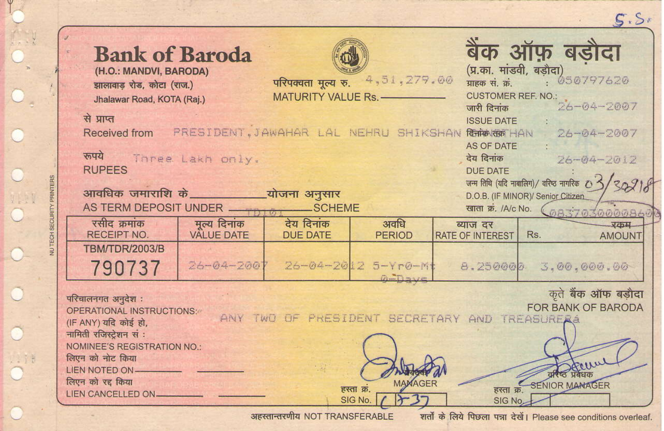|                 |                                                                                                           |                   |                                                 |                       |                                             | 5.5                                                                                        |  |  |
|-----------------|-----------------------------------------------------------------------------------------------------------|-------------------|-------------------------------------------------|-----------------------|---------------------------------------------|--------------------------------------------------------------------------------------------|--|--|
|                 | <b>Bank of Baroda</b><br>(H.O.: MANDVI, BARODA)<br>झालावाड रोड, कोटा (राज.)<br>Jhalawar Road, KOTA (Raj.) |                   | परिपक्वता मृत्य रु.<br>MATURITY VALUE Rs. -     | 4,51,279.00           | (प्र.का. मांडवी, बड़ौदा)<br>ग्राहक सं. क्रं | बैंक ऑफ़ बड़ौदा<br>. 050797620<br>STRIP W. A.L. REF. NO.:<br>CUSTOMER REF. NO.: 26-04-2007 |  |  |
|                 | से प्राप्त                                                                                                |                   |                                                 |                       | <b>ISSUE DATE</b>                           |                                                                                            |  |  |
|                 | Received from                                                                                             |                   | PRESIDENT.JAWAHAR LAL NEHRU SHIKSHAN Randar HAN |                       |                                             | $26 - 04 - 2007$                                                                           |  |  |
|                 |                                                                                                           |                   |                                                 |                       | <b>AS OF DATE</b>                           |                                                                                            |  |  |
|                 | www Three Lakh only.                                                                                      |                   |                                                 |                       | देय दिनांक                                  | 26-04-2012                                                                                 |  |  |
|                 | <b>RUPEES</b>                                                                                             |                   |                                                 |                       | DUE DATE                                    |                                                                                            |  |  |
|                 | आवधिक जमाराशि के व्याजना अनुसार                                                                           |                   |                                                 |                       |                                             | जन्म तिथि (यदि नावालिग)/ वरिष्ठ नागरिक $O \stackrel{\prec}{\rightarrow}$ /                 |  |  |
|                 | AS TERM DEPOSIT UNDER                                                                                     |                   | ___ SCHEME                                      |                       |                                             | D.O.B. (IF MINOR)/ Senior Citizen                                                          |  |  |
|                 | रसीद क्रमांक                                                                                              | मुल्य दिनांक      | देय दिनांक                                      | अवधि                  | ब्याज दर                                    | खाता क्र. /A/c No. (@837@3000086<br><b>REDAL</b>                                           |  |  |
| IUTECH SECURITY | <b>RECEIPT NO.</b>                                                                                        | <b>VALUE DATE</b> | <b>DUE DATE</b>                                 | <b>PERIOD</b>         | <b>RATE OF INTEREST</b>                     | Rs.<br><b>AMOUNT</b>                                                                       |  |  |
|                 | <b>TBM/TDR/2003/B</b>                                                                                     |                   |                                                 |                       |                                             |                                                                                            |  |  |
|                 | 790737                                                                                                    | $26 - 04 - 200$   |                                                 | 26-04-2012 5-Yr0-M    | 8.250000                                    | 3.00.000.00                                                                                |  |  |
|                 |                                                                                                           |                   |                                                 | $0 - 0 = 0$           |                                             |                                                                                            |  |  |
|                 | कते बैंक ऑफ बडौदा<br>परिचालनगत अनुदेश:                                                                    |                   |                                                 |                       |                                             |                                                                                            |  |  |
|                 | FOR BANK OF BARODA<br>OPERATIONAL INSTRUCTIONS:<br>ANY TWO OF PRESIDENT SECRETARY AND TREASURERA          |                   |                                                 |                       |                                             |                                                                                            |  |  |
|                 | (IF ANY) यदि कोई हो,<br>नामिती रजिस्टेशन सं:                                                              |                   |                                                 |                       |                                             |                                                                                            |  |  |
|                 | NOMINEE'S REGISTRATION NO.:                                                                               |                   |                                                 |                       |                                             |                                                                                            |  |  |
|                 | लिएन को नोट किया                                                                                          |                   |                                                 |                       |                                             |                                                                                            |  |  |
|                 | LIEN NOTED ON-                                                                                            |                   |                                                 |                       |                                             |                                                                                            |  |  |
|                 | लिएन को रह किया                                                                                           |                   |                                                 | MAMAGER<br>हस्ता क्र. |                                             | <b>BREE SENIOR MANAGER</b>                                                                 |  |  |
|                 | LIEN CANCELLED ON                                                                                         |                   |                                                 | SIG No.               | SIG No.                                     |                                                                                            |  |  |
|                 |                                                                                                           |                   |                                                 |                       |                                             |                                                                                            |  |  |

Y

 $0 = 0$ 

O.

अहस्तान्तरणीय NOT TRANSFERABLE

शर्तों के लिये पिछला पन्ना देखें। Please see conditions overleaf.